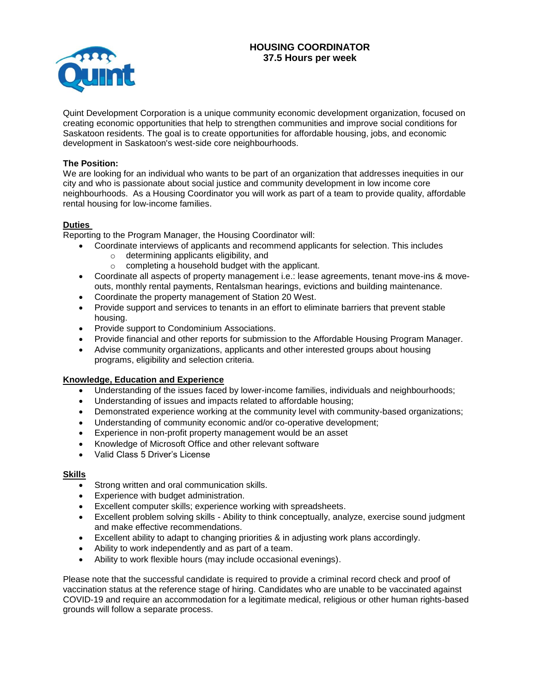# **HOUSING COORDINATOR 37.5 Hours per week**



Quint Development Corporation is a unique community economic development organization, focused on creating economic opportunities that help to strengthen communities and improve social conditions for Saskatoon residents. The goal is to create opportunities for affordable housing, jobs, and economic development in Saskatoon's west-side core neighbourhoods.

#### **The Position:**

We are looking for an individual who wants to be part of an organization that addresses inequities in our city and who is passionate about social justice and community development in low income core neighbourhoods. As a Housing Coordinator you will work as part of a team to provide quality, affordable rental housing for low-income families.

### **Duties**

Reporting to the Program Manager, the Housing Coordinator will:

- Coordinate interviews of applicants and recommend applicants for selection. This includes
	- o determining applicants eligibility, and
	- o completing a household budget with the applicant.
- Coordinate all aspects of property management i.e.: lease agreements, tenant move-ins & moveouts, monthly rental payments, Rentalsman hearings, evictions and building maintenance.
- Coordinate the property management of Station 20 West.
- Provide support and services to tenants in an effort to eliminate barriers that prevent stable housing.
- Provide support to Condominium Associations.
- Provide financial and other reports for submission to the Affordable Housing Program Manager.
- Advise community organizations, applicants and other interested groups about housing programs, eligibility and selection criteria.

## **Knowledge, Education and Experience**

- Understanding of the issues faced by lower-income families, individuals and neighbourhoods;
- Understanding of issues and impacts related to affordable housing;
- Demonstrated experience working at the community level with community-based organizations;
- Understanding of community economic and/or co-operative development;
- Experience in non-profit property management would be an asset
- Knowledge of Microsoft Office and other relevant software
- Valid Class 5 Driver's License

#### **Skills**

- Strong written and oral communication skills.
- Experience with budget administration.
- Excellent computer skills; experience working with spreadsheets.
- Excellent problem solving skills Ability to think conceptually, analyze, exercise sound judgment and make effective recommendations.
- Excellent ability to adapt to changing priorities & in adjusting work plans accordingly.
- Ability to work independently and as part of a team.
- Ability to work flexible hours (may include occasional evenings).

Please note that the successful candidate is required to provide a criminal record check and proof of vaccination status at the reference stage of hiring. Candidates who are unable to be vaccinated against COVID-19 and require an accommodation for a legitimate medical, religious or other human rights-based grounds will follow a separate process.